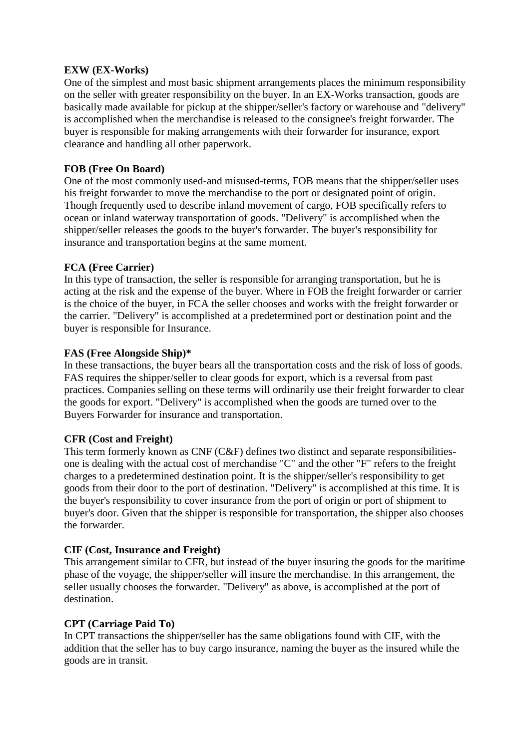## **EXW (EX-Works)**

One of the simplest and most basic shipment arrangements places the minimum responsibility on the seller with greater responsibility on the buyer. In an EX-Works transaction, goods are basically made available for pickup at the shipper/seller's factory or warehouse and "delivery" is accomplished when the merchandise is released to the consignee's freight forwarder. The buyer is responsible for making arrangements with their forwarder for insurance, export clearance and handling all other paperwork.

## **FOB (Free On Board)**

One of the most commonly used-and misused-terms, FOB means that the shipper/seller uses his freight forwarder to move the merchandise to the port or designated point of origin. Though frequently used to describe inland movement of cargo, FOB specifically refers to ocean or inland waterway transportation of goods. "Delivery" is accomplished when the shipper/seller releases the goods to the buyer's forwarder. The buyer's responsibility for insurance and transportation begins at the same moment.

# **FCA (Free Carrier)**

In this type of transaction, the seller is responsible for arranging transportation, but he is acting at the risk and the expense of the buyer. Where in FOB the freight forwarder or carrier is the choice of the buyer, in FCA the seller chooses and works with the freight forwarder or the carrier. "Delivery" is accomplished at a predetermined port or destination point and the buyer is responsible for Insurance.

## **FAS (Free Alongside Ship)\***

In these transactions, the buyer bears all the transportation costs and the risk of loss of goods. FAS requires the shipper/seller to clear goods for export, which is a reversal from past practices. Companies selling on these terms will ordinarily use their freight forwarder to clear the goods for export. "Delivery" is accomplished when the goods are turned over to the Buyers Forwarder for insurance and transportation.

#### **CFR (Cost and Freight)**

This term formerly known as CNF (C&F) defines two distinct and separate responsibilitiesone is dealing with the actual cost of merchandise "C" and the other "F" refers to the freight charges to a predetermined destination point. It is the shipper/seller's responsibility to get goods from their door to the port of destination. "Delivery" is accomplished at this time. It is the buyer's responsibility to cover insurance from the port of origin or port of shipment to buyer's door. Given that the shipper is responsible for transportation, the shipper also chooses the forwarder.

# **CIF (Cost, Insurance and Freight)**

This arrangement similar to CFR, but instead of the buyer insuring the goods for the maritime phase of the voyage, the shipper/seller will insure the merchandise. In this arrangement, the seller usually chooses the forwarder. "Delivery" as above, is accomplished at the port of destination.

#### **CPT (Carriage Paid To)**

In CPT transactions the shipper/seller has the same obligations found with CIF, with the addition that the seller has to buy cargo insurance, naming the buyer as the insured while the goods are in transit.